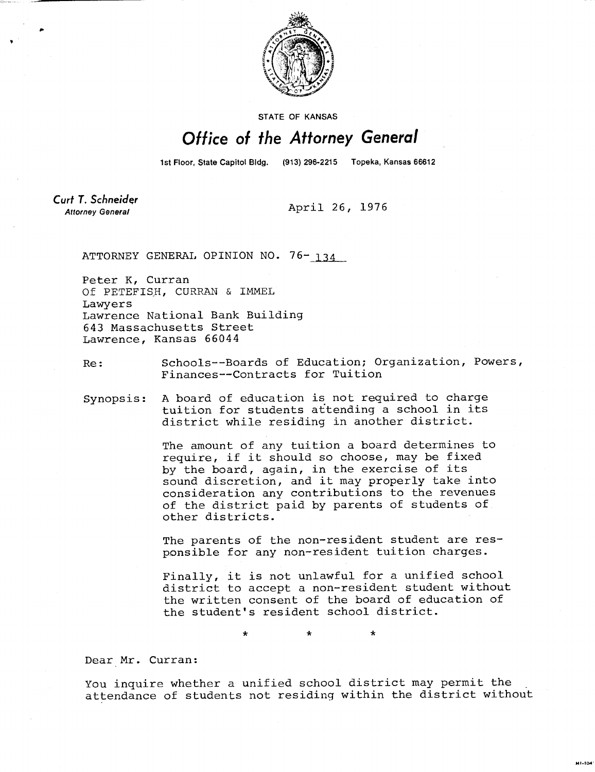

STATE OF KANSAS

## Office of the Attorney General

1st Floor, State Capitol Bldg.

(913) 296-2215 Topeka, Kansas 66612

**Curt T. Schneider Attorney General** 

April 26, 1976

ATTORNEY GENERAL OPINION NO. 76-134

Peter K, Curran Of PETEFISH, CURRAN & IMMEL Lawyers Lawrence National Bank Building 643 Massachusetts Street Lawrence, Kansas 66044

Re: Schools--Boards of Education; Organization, Powers, Finances--Contracts for Tuition

Synopsis: A board of education is not required to charge tuition for students attending a school in its district while residing in another district.

> The amount of any tuition a board determines to require, if it should so choose, may be fixed by the board, again, in the exercise of its sound discretion, and it may properly take into consideration any contributions to the revenues of the district paid by parents of students of other districts.

The parents of the non-resident student are responsible for any non-resident tuition charges.

Finally, it is not unlawful for a unified school district to accept a non-resident student without the written consent of the board of education of the student's resident school district.

MI-104

\*

Dear Mr. Curran:

You inquire whether a unified school district may permit the attendance of students not residing within the district without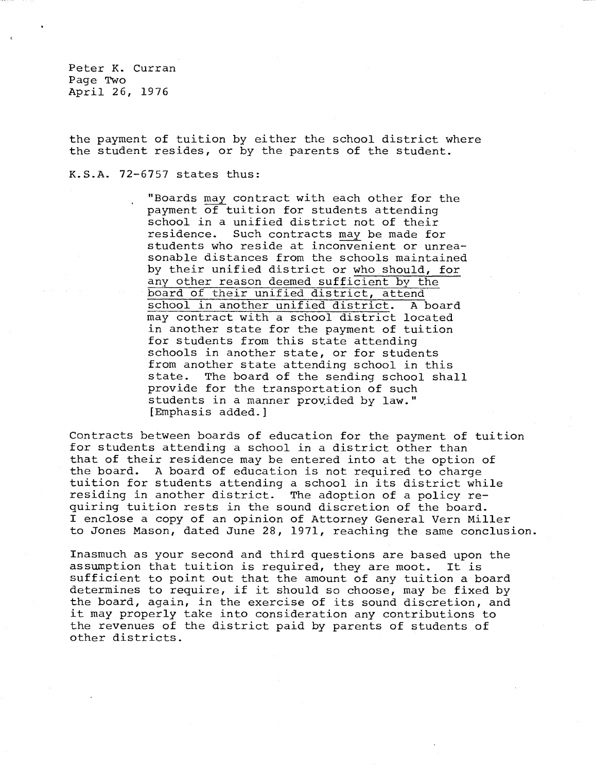Peter K. Curran Page Two April 26, 1976

the payment of tuition by either the school district where the student resides, or by the parents of the student.

K.S.A. 72-6757 states thus:

"Boards may contract with each other for the payment of tuition for students attending school in a unified district not of their residence. Such contracts may be made for students who reside at inconvenient or unreasonable distances from the schools maintained by their unified district or who should, for any other reason deemed sufficient by the board of their unified district, attend school in another unified district. A board may contract with a school district located in another state for the payment of tuition for students from this state attending schools in another state, or for students from another state attending school in this state. The board of the sending school shall provide for the transportation of such students in a manner provided by law." [Emphasis added.]

Contracts between boards of education for the payment of tuition for students attending a school in a district other than that of their residence may be entered into at the option of the board. A board of education is not required to charge tuition for students attending a school in its district while residing in another district. The adoption of a policy requiring tuition rests in the sound discretion of the board. I enclose a copy of an opinion of Attorney General Vern Miller to Jones Mason, dated June 28, 1971, reaching the same conclusion.

Inasmuch as your second and third questions are based upon the assumption that tuition is required, they are moot. It is sufficient to point out that the amount of any tuition a board determines to require, if it should so choose, may be fixed by the board, again, in the exercise of its sound discretion, and it may properly take into consideration any contributions to the revenues of the district paid by parents of students of other districts.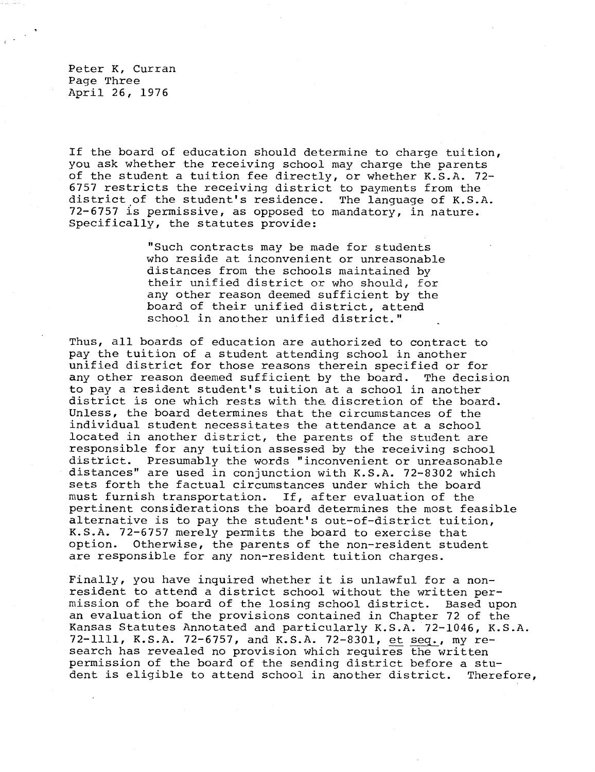Peter K, Curran Page Three April 26, 1976

If the board of education should determine to charge tuition, you ask whether the receiving school may charge the parents of the student a tuition fee directly, or whether K.S.A. 72- 6757 restricts the receiving district to payments from the district of the student's residence. The language of K.S.A.  $72-6757$  is permissive, as opposed to mandatory, in nature. Specifically, the statutes provide:

> "Such contracts may be made for students who reside at inconvenient or unreasonable distances from the schools maintained by their unified district or who should, for any other reason deemed sufficient by the board of their unified district, attend school in another unified district."

Thus, all boards of education are authorized to contract to pay the tuition of a student attending school in another unified district for those reasons therein specified or for any other reason deemed sufficient by the board. The decision to pay a resident student's tuition at a school in another district is one which rests with the, discretion of the board. Unless, the board determines that the circumstances of the individual student necessitates the attendance at a school located in another district, the parents of the student are responsible for any tuition assessed by the receiving school district. Presumably the words "inconvenient or unreasonable distances" are used in conjunction with K.S.A. 72-8302 which sets forth the factual circumstances under which the board must furnish transportation. If, after evaluation of the pertinent considerations the board determines the most feasible alternative is to pay the student's out-of-district tuition, K.S.A. 72-6757 merely permits the board to exercise that option. Otherwise, the parents of the non-resident student are responsible for any non-resident tuition charges.

Finally, you have inquired whether it is unlawful for a nonresident to attend a district school without the written permission of the board of the losing school district. Based upon an evaluation of the provisions contained in Chapter 72 of the Kansas Statutes Annotated and particularly K.S.A. 72-1046, K.S.A. 72-1111, K.S.A. 72-6757, and K.S.A. 72-8301, et seq.,my research has revealed no provision which requires the written permission of the board of the sending district before a student is eligible to attend school in another district. Therefore,